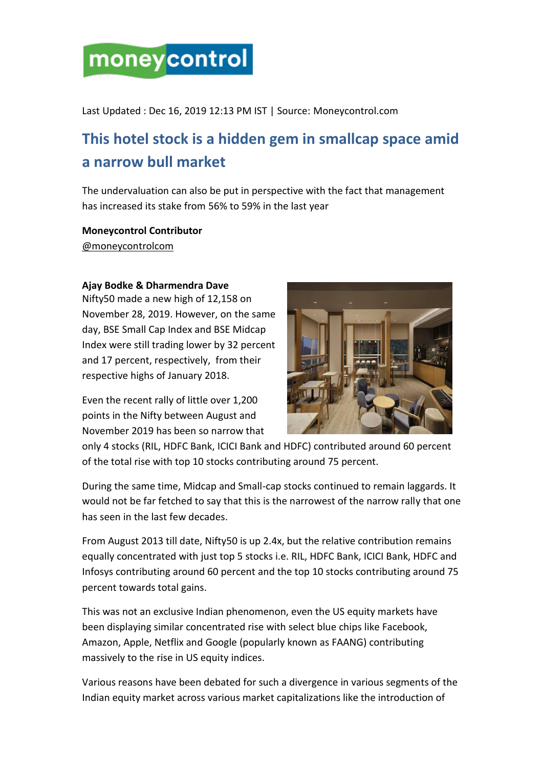# moneycontrol

Last Updated : Dec 16, 2019 12:13 PM IST | Source: Moneycontrol.com

# **This hotel stock is a hidden gem in smallcap space amid a narrow bull market**

The undervaluation can also be put in perspective with the fact that management has increased its stake from 56% to 59% in the last year

## **Moneycontrol Contributor**

[@moneycontrolcom](https://twitter.com/moneycontrolcom)

#### **Ajay Bodke & Dharmendra Dave**

Nifty50 made a new high of 12,158 on November 28, 2019. However, on the same day, BSE Small Cap Index and BSE Midcap Index were still trading lower by 32 percent and 17 percent, respectively, from their respective highs of January 2018.

Even the recent rally of little over 1,200 points in the Nifty between August and November 2019 has been so narrow that



only 4 stocks [\(RIL,](https://www.moneycontrol.com/india/stockpricequote/refineries/relianceindustries/RI) [HDFC Bank,](https://www.moneycontrol.com/india/stockpricequote/banks-private-sector/hdfcbank/HDF01) [ICICI Bank](https://www.moneycontrol.com/india/stockpricequote/banks-private-sector/icicibank/ICI02) and [HDFC\)](https://www.moneycontrol.com/india/stockpricequote/finance-housing/housingdevelopmentfinancecorporation/HDF) contributed around 60 percent of the total rise with top 10 stocks contributing around 75 percent.

During the same time, Midcap and Small-cap stocks continued to remain laggards. It would not be far fetched to say that this is the narrowest of the narrow rally that one has seen in the last few decades.

From August 2013 till date, Nifty50 is up 2.4x, but the relative contribution remains equally concentrated with just top 5 stocks i.e. RIL, HDFC Bank, ICICI Bank, HDFC and Infosys contributing around 60 percent and the top 10 stocks contributing around 75 percent towards total gains.

This was not an exclusive Indian phenomenon, even the US equity markets have been displaying similar concentrated rise with select blue chips like Facebook, Amazon, Apple, Netflix and Google (popularly known as FAANG) contributing massively to the rise in US equity indices.

Various reasons have been debated for such a divergence in various segments of the Indian equity market across various market capitalizations like the introduction of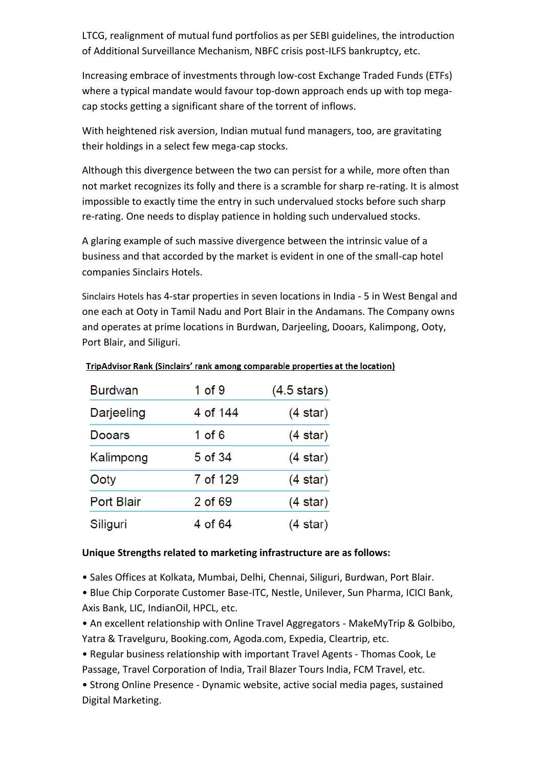LTCG, realignment of mutual fund portfolios as per SEBI guidelines, the introduction of Additional Surveillance Mechanism, NBFC crisis post-ILFS bankruptcy, etc.

Increasing embrace of investments through low-cost Exchange Traded Funds (ETFs) where a typical mandate would favour top-down approach ends up with top megacap stocks getting a significant share of the torrent of inflows.

With heightened risk aversion, Indian mutual fund managers, too, are gravitating their holdings in a select few mega-cap stocks.

Although this divergence between the two can persist for a while, more often than not market recognizes its folly and there is a scramble for sharp re-rating. It is almost impossible to exactly time the entry in such undervalued stocks before such sharp re-rating. One needs to display patience in holding such undervalued stocks.

A glaring example of such massive divergence between the intrinsic value of a business and that accorded by the market is evident in one of the small-cap hotel companies Sinclairs Hotels.

[Sinclairs Hotels](https://www.moneycontrol.com/india/stockpricequote/hotels/sinclairshotels/SH11) has 4-star properties in seven locations in India - 5 in West Bengal and one each at Ooty in Tamil Nadu and Port Blair in the Andamans. The Company owns and operates at prime locations in Burdwan, Darjeeling, Dooars, Kalimpong, Ooty, Port Blair, and Siliguri.

| <b>Burdwan</b>    | $1$ of $9$ | $(4.5 \text{ stars})$ |  |
|-------------------|------------|-----------------------|--|
| Darjeeling        | 4 of 144   | (4 star)              |  |
| Dooars            | 1 of 6     | (4 star)              |  |
| Kalimpong         | 5 of 34    | (4 star)              |  |
| Ooty              | 7 of 129   | (4 star)              |  |
| <b>Port Blair</b> | 2 of 69    | (4 star)              |  |
| Siliguri          | 4 of 64    | (4 star)              |  |

#### TripAdvisor Rank (Sinclairs' rank among comparable properties at the location)

#### **Unique Strengths related to marketing infrastructure are as follows:**

• Sales Offices at Kolkata, Mumbai, Delhi, Chennai, Siliguri, Burdwan, Port Blair.

• Blue Chip Corporate Customer Base-ITC, Nestle, Unilever, Sun Pharma, ICICI Bank, Axis Bank, LIC, IndianOil, HPCL, etc.

• An excellent relationship with Online Travel Aggregators - MakeMyTrip & Golbibo, Yatra & Travelguru, Booking.com, Agoda.com, Expedia, Cleartrip, etc.

• Regular business relationship with important Travel Agents - Thomas Cook, Le Passage, Travel Corporation of India, Trail Blazer Tours India, FCM Travel, etc.

• Strong Online Presence - Dynamic website, active social media pages, sustained Digital Marketing.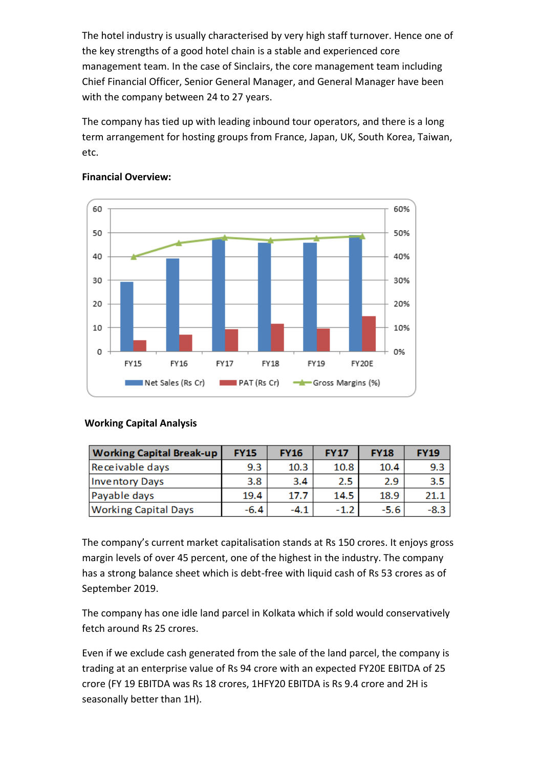The hotel industry is usually characterised by very high staff turnover. Hence one of the key strengths of a good hotel chain is a stable and experienced core management team. In the case of Sinclairs, the core management team including Chief Financial Officer, Senior General Manager, and General Manager have been with the company between 24 to 27 years.

The company has tied up with leading inbound tour operators, and there is a long term arrangement for hosting groups from France, Japan, UK, South Korea, Taiwan, etc.



#### **Financial Overview:**

### **Working Capital Analysis**

| <b>Working Capital Break-up</b> | <b>FY15</b> | <b>FY16</b> | <b>FY17</b> | <b>FY18</b> | <b>FY19</b> |
|---------------------------------|-------------|-------------|-------------|-------------|-------------|
| Receivable days                 | 9.3         | 10.3        | 10.8        | 10.4        | 9.3         |
| <b>Inventory Days</b>           | 3.8         | 3.4         | 2.5         | 2.9         | 3.5         |
| Payable days                    | 19.4        | 17.7        | 14.5        | 18.9        | 21.1        |
| <b>Working Capital Days</b>     | -6.4        | -4.1        | $-1.2$      | -5.6        | $-8.3$      |

The company's current market capitalisation stands at Rs 150 crores. It enjoys gross margin levels of over 45 percent, one of the highest in the industry. The company has a strong balance sheet which is debt-free with liquid cash of Rs 53 crores as of September 2019.

The company has one idle land parcel in Kolkata which if sold would conservatively fetch around Rs 25 crores.

Even if we exclude cash generated from the sale of the land parcel, the company is trading at an enterprise value of Rs 94 crore with an expected FY20E EBITDA of 25 crore (FY 19 EBITDA was Rs 18 crores, 1HFY20 EBITDA is Rs 9.4 crore and 2H is seasonally better than 1H).